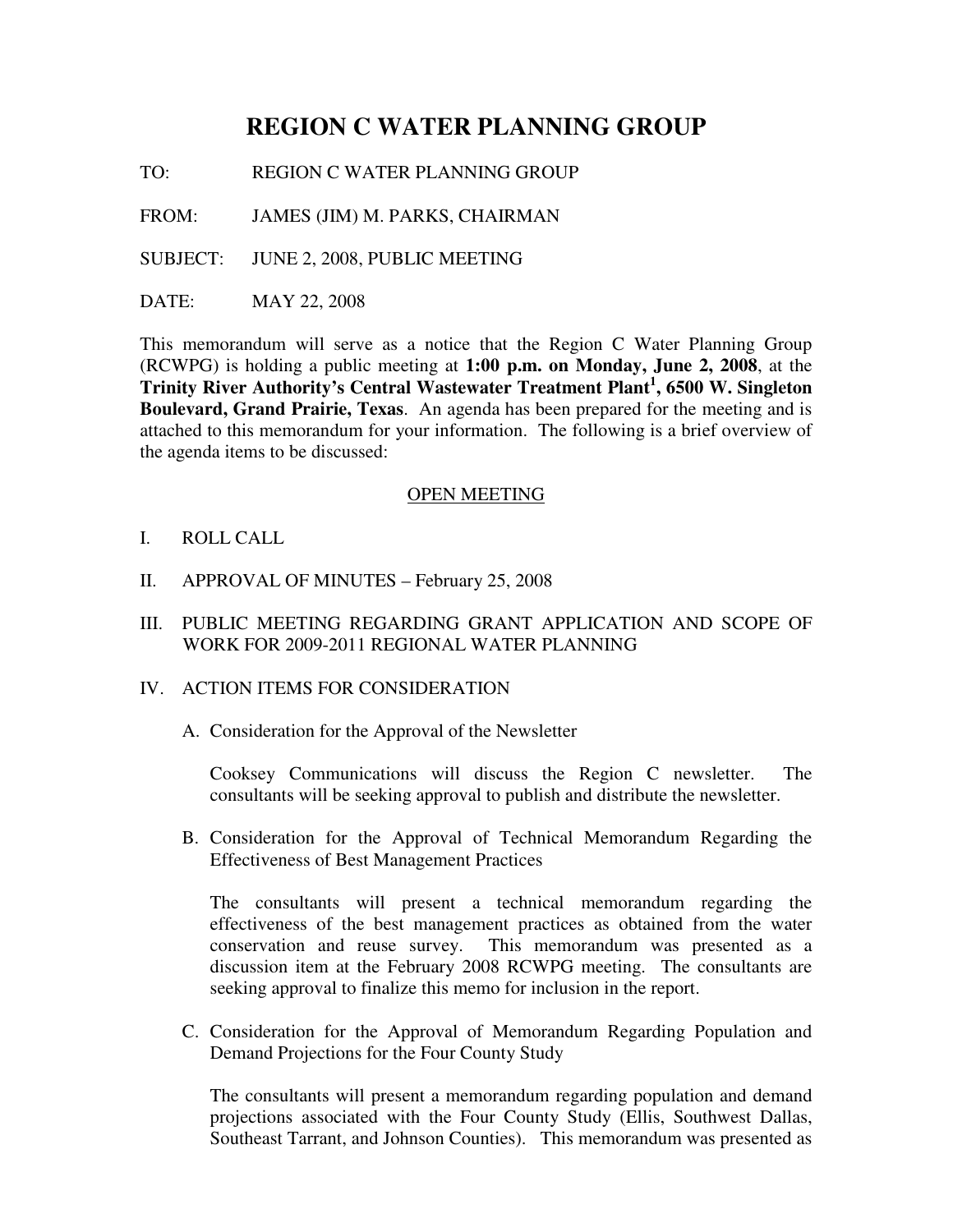# **REGION C WATER PLANNING GROUP**

TO: REGION C WATER PLANNING GROUP

FROM: JAMES (JIM) M. PARKS, CHAIRMAN

SUBJECT: JUNE 2, 2008, PUBLIC MEETING

DATE: MAY 22, 2008

This memorandum will serve as a notice that the Region C Water Planning Group (RCWPG) is holding a public meeting at **1:00 p.m. on Monday, June 2, 2008**, at the **Trinity River Authority's Central Wastewater Treatment Plant<sup>1</sup> , 6500 W. Singleton Boulevard, Grand Prairie, Texas**. An agenda has been prepared for the meeting and is attached to this memorandum for your information. The following is a brief overview of the agenda items to be discussed:

#### OPEN MEETING

- I. ROLL CALL
- II. APPROVAL OF MINUTES February 25, 2008
- III. PUBLIC MEETING REGARDING GRANT APPLICATION AND SCOPE OF WORK FOR 2009-2011 REGIONAL WATER PLANNING
- IV. ACTION ITEMS FOR CONSIDERATION
	- A. Consideration for the Approval of the Newsletter

Cooksey Communications will discuss the Region C newsletter. The consultants will be seeking approval to publish and distribute the newsletter.

B. Consideration for the Approval of Technical Memorandum Regarding the Effectiveness of Best Management Practices

The consultants will present a technical memorandum regarding the effectiveness of the best management practices as obtained from the water conservation and reuse survey. This memorandum was presented as a discussion item at the February 2008 RCWPG meeting. The consultants are seeking approval to finalize this memo for inclusion in the report.

C. Consideration for the Approval of Memorandum Regarding Population and Demand Projections for the Four County Study

The consultants will present a memorandum regarding population and demand projections associated with the Four County Study (Ellis, Southwest Dallas, Southeast Tarrant, and Johnson Counties). This memorandum was presented as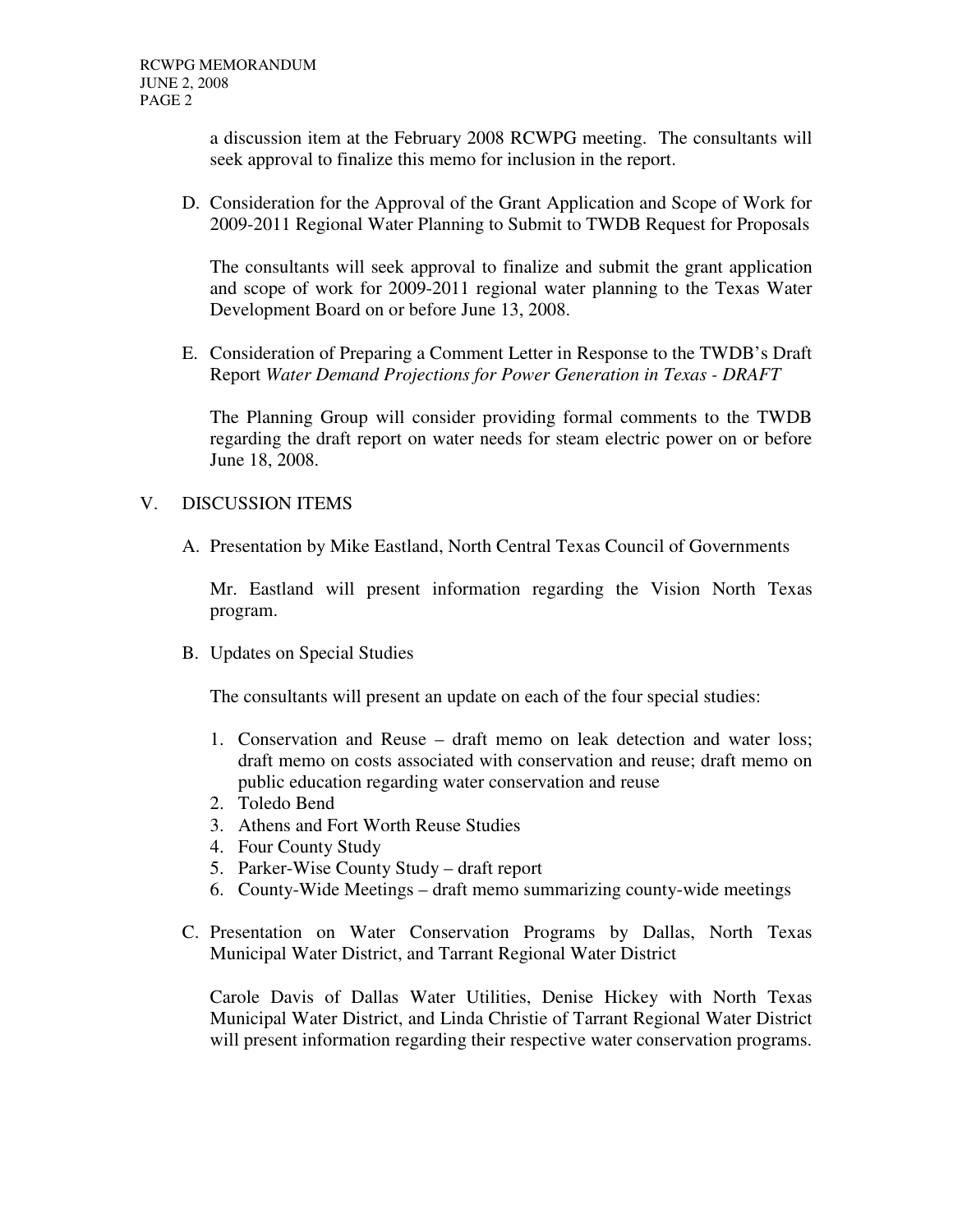a discussion item at the February 2008 RCWPG meeting. The consultants will seek approval to finalize this memo for inclusion in the report.

D. Consideration for the Approval of the Grant Application and Scope of Work for 2009-2011 Regional Water Planning to Submit to TWDB Request for Proposals

The consultants will seek approval to finalize and submit the grant application and scope of work for 2009-2011 regional water planning to the Texas Water Development Board on or before June 13, 2008.

E. Consideration of Preparing a Comment Letter in Response to the TWDB's Draft Report *Water Demand Projections for Power Generation in Texas - DRAFT*

The Planning Group will consider providing formal comments to the TWDB regarding the draft report on water needs for steam electric power on or before June 18, 2008.

## V. DISCUSSION ITEMS

A. Presentation by Mike Eastland, North Central Texas Council of Governments

Mr. Eastland will present information regarding the Vision North Texas program.

B. Updates on Special Studies

The consultants will present an update on each of the four special studies:

- 1. Conservation and Reuse draft memo on leak detection and water loss; draft memo on costs associated with conservation and reuse; draft memo on public education regarding water conservation and reuse
- 2. Toledo Bend
- 3. Athens and Fort Worth Reuse Studies
- 4. Four County Study
- 5. Parker-Wise County Study draft report
- 6. County-Wide Meetings draft memo summarizing county-wide meetings
- C. Presentation on Water Conservation Programs by Dallas, North Texas Municipal Water District, and Tarrant Regional Water District

Carole Davis of Dallas Water Utilities, Denise Hickey with North Texas Municipal Water District, and Linda Christie of Tarrant Regional Water District will present information regarding their respective water conservation programs.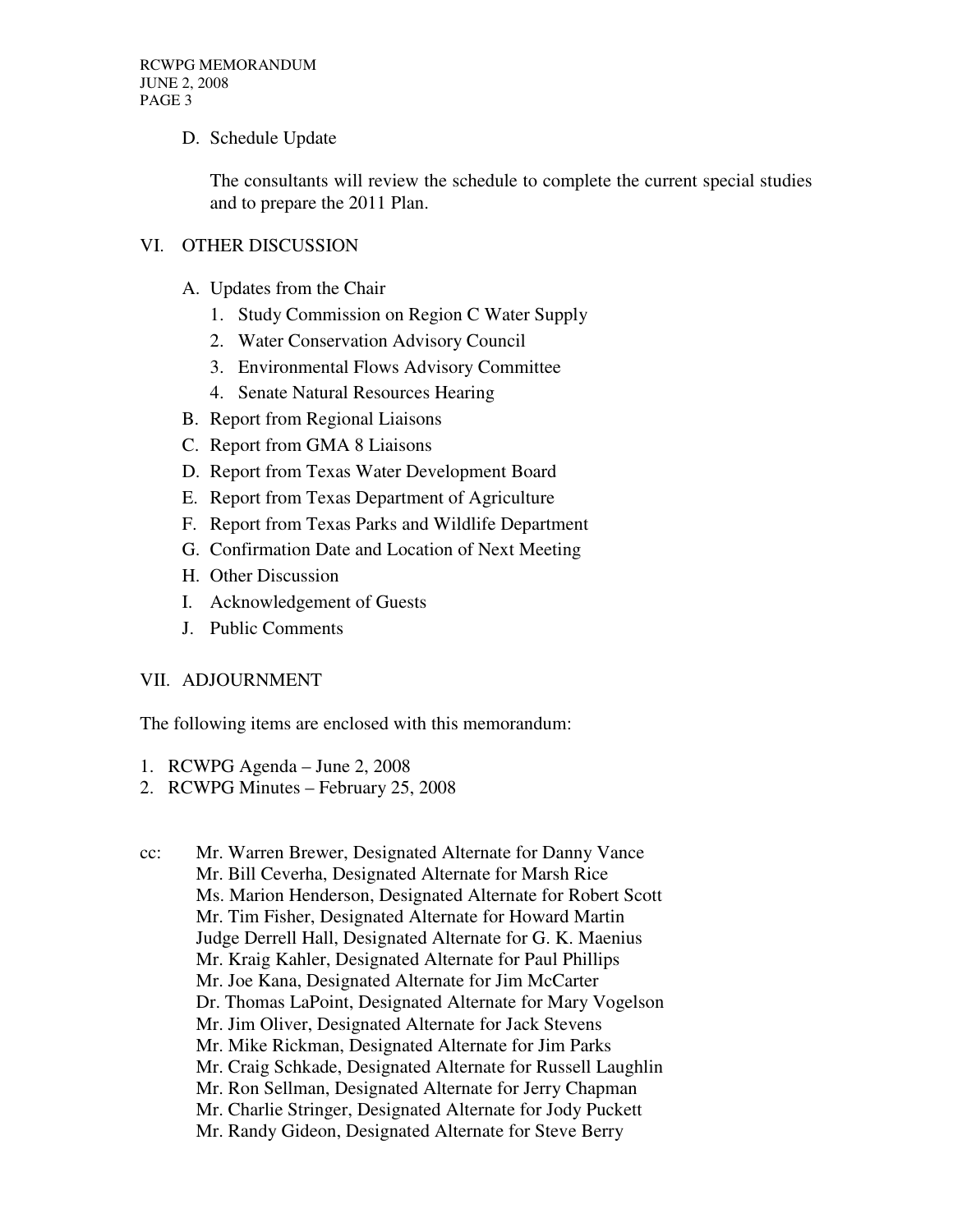## D. Schedule Update

The consultants will review the schedule to complete the current special studies and to prepare the 2011 Plan.

## VI. OTHER DISCUSSION

- A. Updates from the Chair
	- 1. Study Commission on Region C Water Supply
	- 2. Water Conservation Advisory Council
	- 3. Environmental Flows Advisory Committee
	- 4. Senate Natural Resources Hearing
- B. Report from Regional Liaisons
- C. Report from GMA 8 Liaisons
- D. Report from Texas Water Development Board
- E. Report from Texas Department of Agriculture
- F. Report from Texas Parks and Wildlife Department
- G. Confirmation Date and Location of Next Meeting
- H. Other Discussion
- I. Acknowledgement of Guests
- J. Public Comments

#### VII. ADJOURNMENT

The following items are enclosed with this memorandum:

- 1. RCWPG Agenda June 2, 2008
- 2. RCWPG Minutes February 25, 2008
- cc: Mr. Warren Brewer, Designated Alternate for Danny Vance Mr. Bill Ceverha, Designated Alternate for Marsh Rice Ms. Marion Henderson, Designated Alternate for Robert Scott Mr. Tim Fisher, Designated Alternate for Howard Martin Judge Derrell Hall, Designated Alternate for G. K. Maenius Mr. Kraig Kahler, Designated Alternate for Paul Phillips Mr. Joe Kana, Designated Alternate for Jim McCarter Dr. Thomas LaPoint, Designated Alternate for Mary Vogelson Mr. Jim Oliver, Designated Alternate for Jack Stevens Mr. Mike Rickman, Designated Alternate for Jim Parks Mr. Craig Schkade, Designated Alternate for Russell Laughlin Mr. Ron Sellman, Designated Alternate for Jerry Chapman Mr. Charlie Stringer, Designated Alternate for Jody Puckett Mr. Randy Gideon, Designated Alternate for Steve Berry